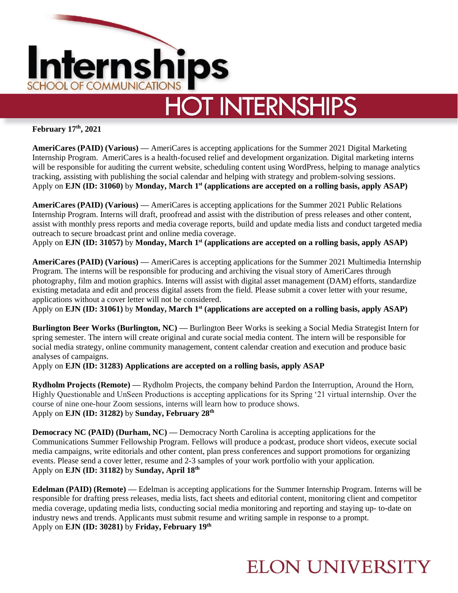

# **HOT INTERNSHIPS**

**February 17th, 2021**

**AmeriCares (PAID) (Various) —** AmeriCares is accepting applications for the Summer 2021 Digital Marketing Internship Program. AmeriCares is a health-focused relief and development organization. Digital marketing interns will be responsible for auditing the current website, scheduling content using WordPress, helping to manage analytics tracking, assisting with publishing the social calendar and helping with strategy and problem-solving sessions. Apply on **EJN (ID: 31060)** by **Monday, March 1st (applications are accepted on a rolling basis, apply ASAP)**

**AmeriCares (PAID) (Various) —** AmeriCares is accepting applications for the Summer 2021 Public Relations Internship Program. Interns will draft, proofread and assist with the distribution of press releases and other content, assist with monthly press reports and media coverage reports, build and update media lists and conduct targeted media outreach to secure broadcast print and online media coverage.

Apply on **EJN (ID: 31057)** by **Monday, March 1st (applications are accepted on a rolling basis, apply ASAP)**

**AmeriCares (PAID) (Various) —** AmeriCares is accepting applications for the Summer 2021 Multimedia Internship Program. The interns will be responsible for producing and archiving the visual story of AmeriCares through photography, film and motion graphics. Interns will assist with digital asset management (DAM) efforts, standardize existing metadata and edit and process digital assets from the field. Please submit a cover letter with your resume, applications without a cover letter will not be considered.

Apply on **EJN (ID: 31061)** by **Monday, March 1st (applications are accepted on a rolling basis, apply ASAP)**

**Burlington Beer Works (Burlington, NC) —** Burlington Beer Works is seeking a Social Media Strategist Intern for spring semester. The intern will create original and curate social media content. The intern will be responsible for social media strategy, online community management, content calendar creation and execution and produce basic analyses of campaigns.

Apply on **EJN (ID: 31283) Applications are accepted on a rolling basis, apply ASAP**

**Rydholm Projects (Remote) —** Rydholm Projects, the company behind Pardon the Interruption, Around the Horn, Highly Questionable and UnSeen Productions is accepting applications for its Spring '21 virtual internship. Over the course of nine one-hour Zoom sessions, interns will learn how to produce shows. Apply on **EJN (ID: 31282)** by **Sunday, February 28th**

**Democracy NC (PAID) (Durham, NC) — Democracy North Carolina is accepting applications for the** Communications Summer Fellowship Program. Fellows will produce a podcast, produce short videos, execute social media campaigns, write editorials and other content, plan press conferences and support promotions for organizing events. Please send a cover letter, resume and 2-3 samples of your work portfolio with your application. Apply on **EJN (ID: 31182)** by **Sunday, April 18th**

**Edelman (PAID) (Remote) —** Edelman is accepting applications for the Summer Internship Program. Interns will be responsible for drafting press releases, media lists, fact sheets and editorial content, monitoring client and competitor media coverage, updating media lists, conducting social media monitoring and reporting and staying up- to-date on industry news and trends. Applicants must submit resume and writing sample in response to a prompt. Apply on **EJN (ID: 30281)** by **Friday, February 19th**

## **ELON UNIVERSITY**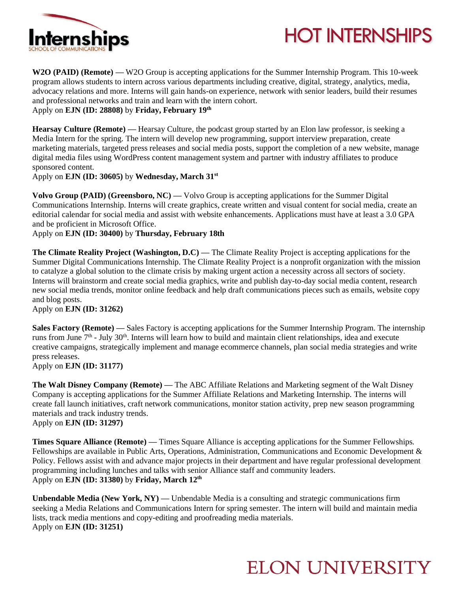

## **HOT INTERNSHIPS**

**W2O (PAID) (Remote) —** W2O Group is accepting applications for the Summer Internship Program. This 10-week program allows students to intern across various departments including creative, digital, strategy, analytics, media, advocacy relations and more. Interns will gain hands-on experience, network with senior leaders, build their resumes and professional networks and train and learn with the intern cohort. Apply on **EJN (ID: 28808)** by **Friday, February 19th**

**Hearsay Culture (Remote) —** Hearsay Culture, the podcast group started by an Elon law professor, is seeking a Media Intern for the spring. The intern will develop new programming, support interview preparation, create marketing materials, targeted press releases and social media posts, support the completion of a new website, manage digital media files using WordPress content management system and partner with industry affiliates to produce sponsored content.

Apply on **EJN (ID: 30605)** by **Wednesday, March 31st**

**Volvo Group (PAID) (Greensboro, NC) —** Volvo Group is accepting applications for the Summer Digital Communications Internship. Interns will create graphics, create written and visual content for social media, create an editorial calendar for social media and assist with website enhancements. Applications must have at least a 3.0 GPA and be proficient in Microsoft Office.

Apply on **EJN (ID: 30400)** by **Thursday, February 18th**

**The Climate Reality Project (Washington, D.C) —** The Climate Reality Project is accepting applications for the Summer Digital Communications Internship. The Climate Reality Project is a nonprofit organization with the mission to catalyze a global solution to the climate crisis by making urgent action a necessity across all sectors of society. Interns will brainstorm and create social media graphics, write and publish day-to-day social media content, research new social media trends, monitor online feedback and help draft communications pieces such as emails, website copy and blog posts.

Apply on **EJN (ID: 31262)** 

**Sales Factory (Remote) —** Sales Factory is accepting applications for the Summer Internship Program. The internship runs from June 7<sup>th</sup> - July 30<sup>th</sup>. Interns will learn how to build and maintain client relationships, idea and execute creative campaigns, strategically implement and manage ecommerce channels, plan social media strategies and write press releases.

Apply on **EJN (ID: 31177)** 

**The Walt Disney Company (Remote) —** The ABC Affiliate Relations and Marketing segment of the Walt Disney Company is accepting applications for the Summer Affiliate Relations and Marketing Internship. The interns will create fall launch initiatives, craft network communications, monitor station activity, prep new season programming materials and track industry trends.

Apply on **EJN (ID: 31297)** 

**Times Square Alliance (Remote) —** Times Square Alliance is accepting applications for the Summer Fellowships. Fellowships are available in Public Arts, Operations, Administration, Communications and Economic Development & Policy. Fellows assist with and advance major projects in their department and have regular professional development programming including lunches and talks with senior Alliance staff and community leaders. Apply on **EJN (ID: 31380)** by **Friday, March 12th**

**Unbendable Media (New York, NY) —** Unbendable Media is a consulting and strategic communications firm seeking a Media Relations and Communications Intern for spring semester. The intern will build and maintain media lists, track media mentions and copy-editing and proofreading media materials. Apply on **EJN (ID: 31251)** 

#### **ELON UNIVERSITY**